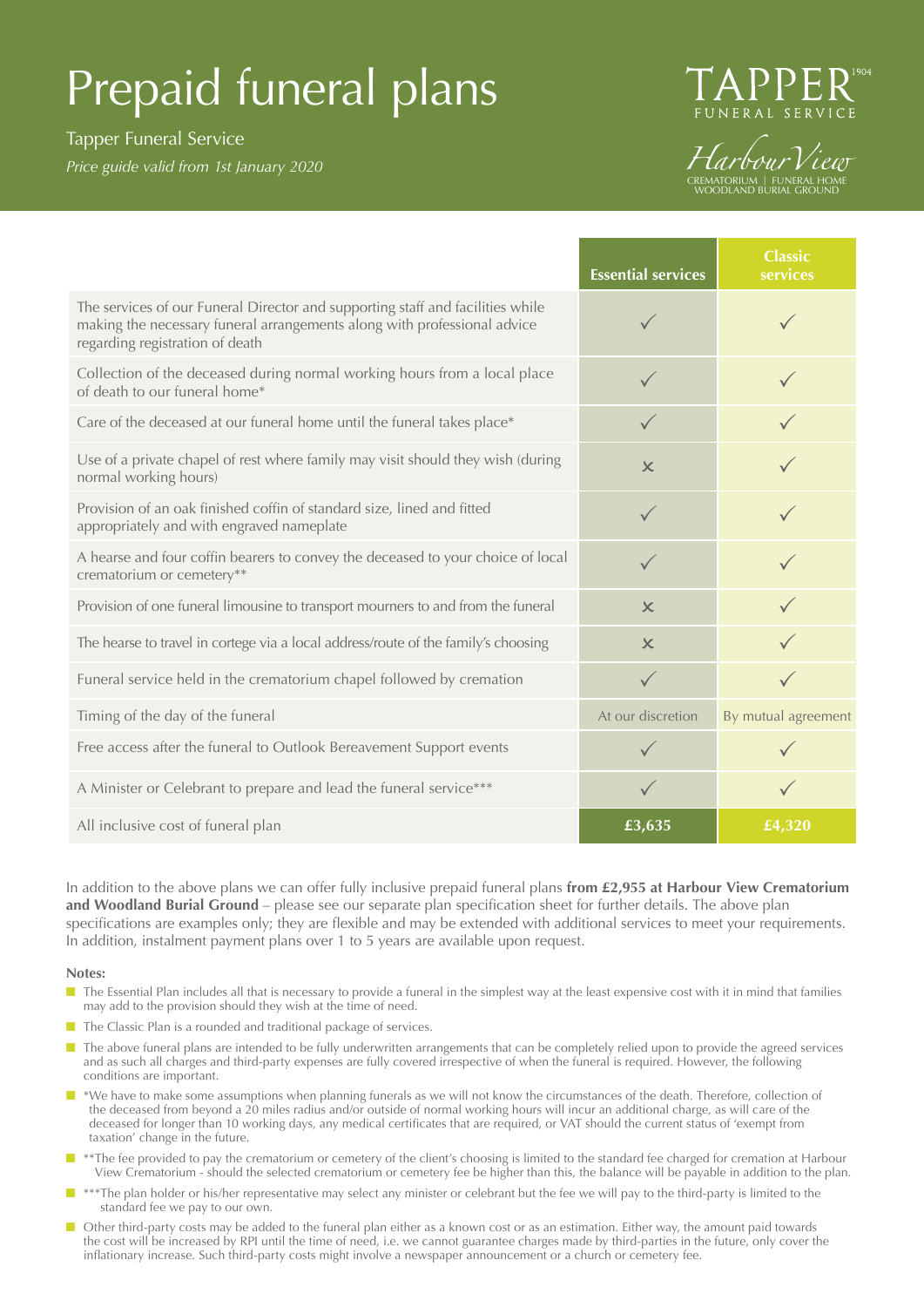# Prepaid funeral plans

## Tapper Funeral Service

*Price guide valid from 1st January 2020*



HarbourView CREMATORIUM | FUNERAL HOME WOODLAND BURIAL GROUND

|                                                                                                                                                                                               | <b>Essential services</b> | <b>Classic</b><br>services |
|-----------------------------------------------------------------------------------------------------------------------------------------------------------------------------------------------|---------------------------|----------------------------|
| The services of our Funeral Director and supporting staff and facilities while<br>making the necessary funeral arrangements along with professional advice<br>regarding registration of death |                           |                            |
| Collection of the deceased during normal working hours from a local place<br>of death to our funeral home*                                                                                    | $\checkmark$              |                            |
| Care of the deceased at our funeral home until the funeral takes place*                                                                                                                       | $\checkmark$              |                            |
| Use of a private chapel of rest where family may visit should they wish (during<br>normal working hours)                                                                                      | $\chi$                    |                            |
| Provision of an oak finished coffin of standard size, lined and fitted<br>appropriately and with engraved nameplate                                                                           | $\checkmark$              |                            |
| A hearse and four coffin bearers to convey the deceased to your choice of local<br>crematorium or cemetery**                                                                                  | $\checkmark$              |                            |
| Provision of one funeral limousine to transport mourners to and from the funeral                                                                                                              | $\boldsymbol{\times}$     |                            |
| The hearse to travel in cortege via a local address/route of the family's choosing                                                                                                            | $\boldsymbol{\mathsf{x}}$ |                            |
| Funeral service held in the crematorium chapel followed by cremation                                                                                                                          | $\checkmark$              |                            |
| Timing of the day of the funeral                                                                                                                                                              | At our discretion         | By mutual agreement        |
| Free access after the funeral to Outlook Bereavement Support events                                                                                                                           |                           |                            |
| A Minister or Celebrant to prepare and lead the funeral service***                                                                                                                            | $\checkmark$              |                            |
| All inclusive cost of funeral plan                                                                                                                                                            | £3,635                    | £4,320                     |

In addition to the above plans we can offer fully inclusive prepaid funeral plans **from £2,955 at Harbour View Crematorium and Woodland Burial Ground** – please see our separate plan specification sheet for further details. The above plan specifications are examples only; they are flexible and may be extended with additional services to meet your requirements. In addition, instalment payment plans over 1 to 5 years are available upon request.

#### **Notes:**

- $\blacksquare$  The Essential Plan includes all that is necessary to provide a funeral in the simplest way at the least expensive cost with it in mind that families may add to the provision should they wish at the time of need.
- $\blacksquare$  The Classic Plan is a rounded and traditional package of services.
- n The above funeral plans are intended to be fully underwritten arrangements that can be completely relied upon to provide the agreed services and as such all charges and third-party expenses are fully covered irrespective of when the funeral is required. However, the following conditions are important.
- \*We have to make some assumptions when planning funerals as we will not know the circumstances of the death. Therefore, collection of the deceased from beyond a 20 miles radius and/or outside of normal working hours will incur an additional charge, as will care of the deceased for longer than 10 working days, any medical certificates that are required, or VAT should the current status of 'exempt from taxation' change in the future.
- \*\*The fee provided to pay the crematorium or cemetery of the client's choosing is limited to the standard fee charged for cremation at Harbour View Crematorium - should the selected crematorium or cemetery fee be higher than this, the balance will be payable in addition to the plan.
- **n** \*\*\*The plan holder or his/her representative may select any minister or celebrant but the fee we will pay to the third-party is limited to the standard fee we pay to our own.
- $\blacksquare$  Other third-party costs may be added to the funeral plan either as a known cost or as an estimation. Either way, the amount paid towards the cost will be increased by RPI until the time of need, i.e. we cannot guarantee charges made by third-parties in the future, only cover the inflationary increase. Such third-party costs might involve a newspaper announcement or a church or cemetery fee.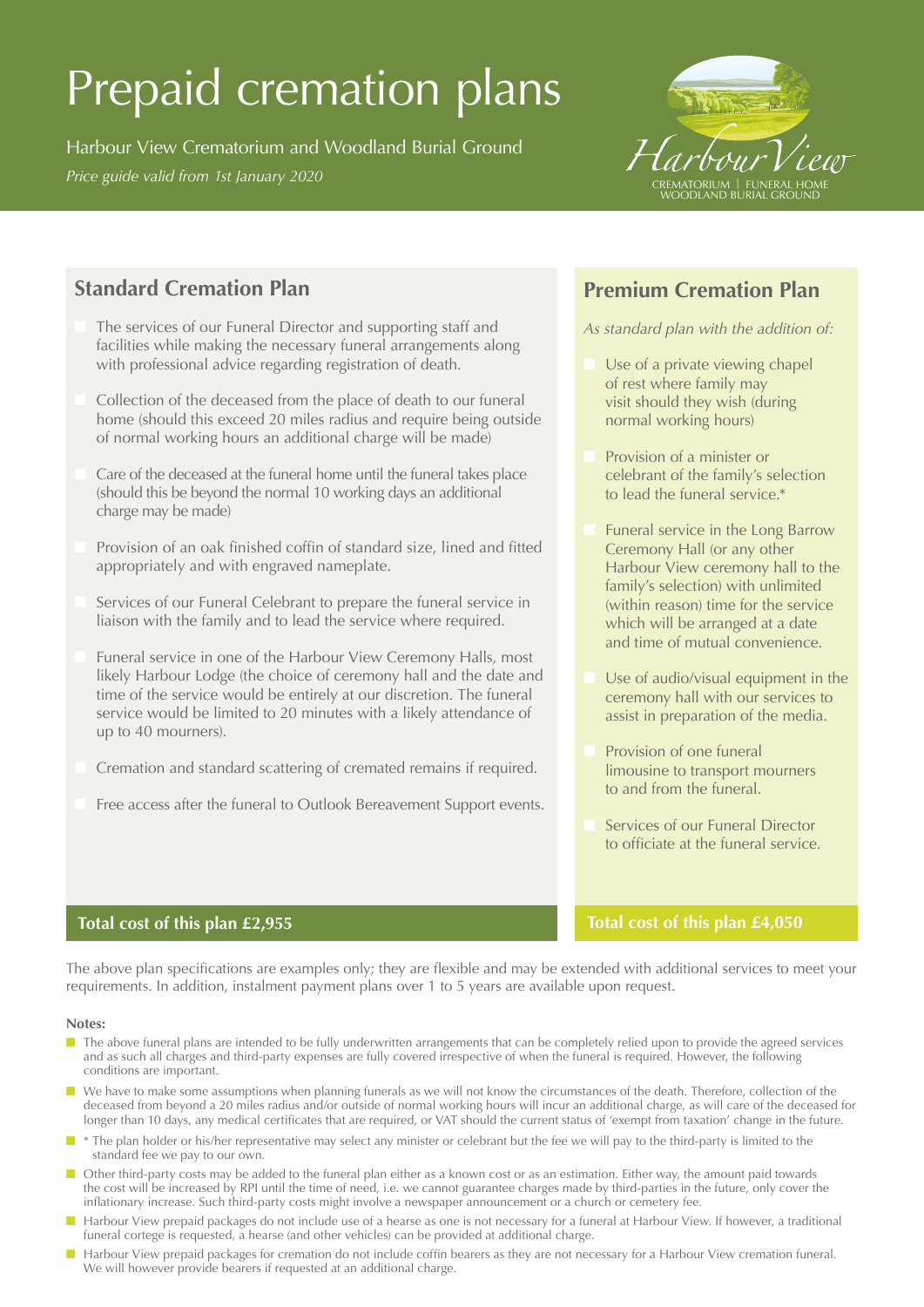# Prepaid cremation plans

Harbour View Crematorium and Woodland Burial Ground *Price guide valid from 1st January 2020*<br>*Price guide valid from 1st January 2020* CREMATORIUM & LEINERAL HOME



# **Standard Cremation Plan**

- The services of our Funeral Director and supporting staff and facilities while making the necessary funeral arrangements along with professional advice regarding registration of death.
- Collection of the deceased from the place of death to our funeral home (should this exceed 20 miles radius and require being outside of normal working hours an additional charge will be made)
- Care of the deceased at the funeral home until the funeral takes place (should this be beyond the normal 10 working days an additional charge may be made)
- Provision of an oak finished coffin of standard size, lined and fitted appropriately and with engraved nameplate.
- Services of our Funeral Celebrant to prepare the funeral service in liaison with the family and to lead the service where required.
- Funeral service in one of the Harbour View Ceremony Halls, most likely Harbour Lodge (the choice of ceremony hall and the date and time of the service would be entirely at our discretion. The funeral service would be limited to 20 minutes with a likely attendance of up to 40 mourners).
- Cremation and standard scattering of cremated remains if required.
- Free access after the funeral to Outlook Bereavement Support events.

## **Premium Cremation Plan**

*As standard plan with the addition of:*

- Use of a private viewing chapel of rest where family may visit should they wish (during normal working hours)
- Provision of a minister or celebrant of the family's selection to lead the funeral service.\*
- Funeral service in the Long Barrow Ceremony Hall (or any other Harbour View ceremony hall to the family's selection) with unlimited (within reason) time for the service which will be arranged at a date and time of mutual convenience.
- Use of audio/visual equipment in the ceremony hall with our services to assist in preparation of the media.
- Provision of one funeral limousine to transport mourners to and from the funeral.
- Services of our Funeral Director to officiate at the funeral service.

### **Total cost of this plan £4,050**

## **Total cost of this plan £2,955**

The above plan specifications are examples only; they are flexible and may be extended with additional services to meet your requirements. In addition, instalment payment plans over 1 to 5 years are available upon request.

#### **Notes:**

- The above funeral plans are intended to be fully underwritten arrangements that can be completely relied upon to provide the agreed services and as such all charges and third-party expenses are fully covered irrespective of when the funeral is required. However, the following conditions are important.
- We have to make some assumptions when planning funerals as we will not know the circumstances of the death. Therefore, collection of the deceased from beyond a 20 miles radius and/or outside of normal working hours will incur an additional charge, as will care of the deceased for longer than 10 days, any medical certificates that are required, or VAT should the current status of 'exempt from taxation' change in the future.
- \* The plan holder or his/her representative may select any minister or celebrant but the fee we will pay to the third-party is limited to the standard fee we pay to our own.
- Other third-party costs may be added to the funeral plan either as a known cost or as an estimation. Either way, the amount paid towards the cost will be increased by RPI until the time of need, i.e. we cannot guarantee charges made by third-parties in the future, only cover the inflationary increase. Such third-party costs might involve a newspaper announcement or a church or cemetery fee.
- Harbour View prepaid packages do not include use of a hearse as one is not necessary for a funeral at Harbour View. If however, a traditional funeral cortege is requested, a hearse (and other vehicles) can be provided at additional charge.
- Harbour View prepaid packages for cremation do not include coffin bearers as they are not necessary for a Harbour View cremation funeral. We will however provide bearers if requested at an additional charge.